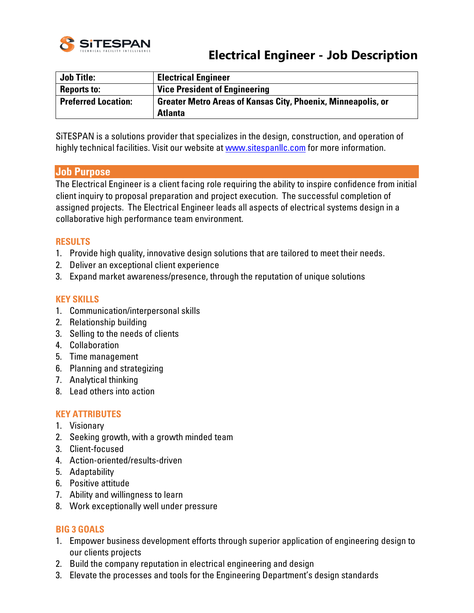

# **Electrical Engineer - Job Description**

| <b>Job Title:</b>          | <b>Electrical Engineer</b>                                                            |
|----------------------------|---------------------------------------------------------------------------------------|
| <b>Reports to:</b>         | <b>Vice President of Engineering</b>                                                  |
| <b>Preferred Location:</b> | <b>Greater Metro Areas of Kansas City, Phoenix, Minneapolis, or</b><br><b>Atlanta</b> |

SiTESPAN is a solutions provider that specializes in the design, construction, and operation of highly technical facilities. Visit our website at [www.sitespanllc.com](http://www.sitespanllc.com/) for more information.

### **Job Purpose**

The Electrical Engineer is a client facing role requiring the ability to inspire confidence from initial client inquiry to proposal preparation and project execution. The successful completion of assigned projects. The Electrical Engineer leads all aspects of electrical systems design in a collaborative high performance team environment.

### **RESULTS**

- 1. Provide high quality, innovative design solutions that are tailored to meet their needs.
- 2. Deliver an exceptional client experience
- 3. Expand market awareness/presence, through the reputation of unique solutions

#### **KEY SKILLS**

- 1. Communication/interpersonal skills
- 2. Relationship building
- 3. Selling to the needs of clients
- 4. Collaboration
- 5. Time management
- 6. Planning and strategizing
- 7. Analytical thinking
- 8. Lead others into action

### **KEY ATTRIBUTES**

- 1. Visionary
- 2. Seeking growth, with a growth minded team
- 3. Client-focused
- 4. Action-oriented/results-driven
- 5. Adaptability
- 6. Positive attitude
- 7. Ability and willingness to learn
- 8. Work exceptionally well under pressure

#### **BIG 3 GOALS**

- 1. Empower business development efforts through superior application of engineering design to our clients projects
- 2. Build the company reputation in electrical engineering and design
- 3. Elevate the processes and tools for the Engineering Department's design standards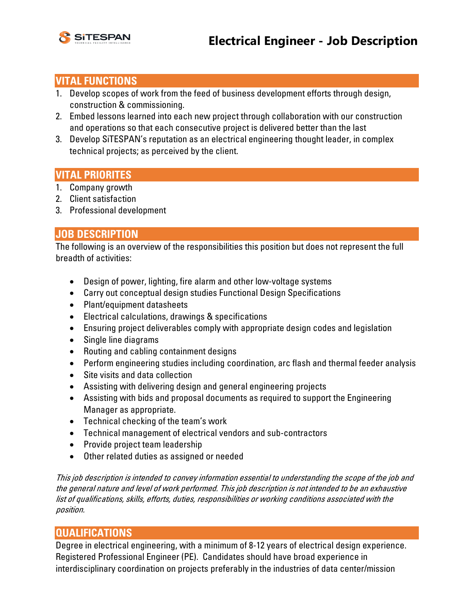

# **VITAL FUNCTIONS**

- 1. Develop scopes of work from the feed of business development efforts through design, construction & commissioning.
- 2. Embed lessons learned into each new project through collaboration with our construction and operations so that each consecutive project is delivered better than the last
- 3. Develop SiTESPAN's reputation as an electrical engineering thought leader, in complex technical projects; as perceived by the client.

# **VITAL PRIORITES**

- 1. Company growth
- 2. Client satisfaction
- 3. Professional development

# **JOB DESCRIPTION**

The following is an overview of the responsibilities this position but does not represent the full breadth of activities:

- Design of power, lighting, fire alarm and other low-voltage systems
- Carry out conceptual design studies Functional Design Specifications
- Plant/equipment datasheets
- Electrical calculations, drawings & specifications
- Ensuring project deliverables comply with appropriate design codes and legislation
- Single line diagrams
- Routing and cabling containment designs
- Perform engineering studies including coordination, arc flash and thermal feeder analysis
- Site visits and data collection
- Assisting with delivering design and general engineering projects
- Assisting with bids and proposal documents as required to support the Engineering Manager as appropriate.
- Technical checking of the team's work
- Technical management of electrical vendors and sub-contractors
- Provide project team leadership
- Other related duties as assigned or needed

This job description is intended to convey information essential to understanding the scope of the job and the general nature and level of work performed. This job description is not intended to be an exhaustive list of qualifications, skills, efforts, duties, responsibilities or working conditions associated with the position.

# **QUALIFICATIONS**

Degree in electrical engineering, with a minimum of 8-12 years of electrical design experience. Registered Professional Engineer (PE). Candidates should have broad experience in interdisciplinary coordination on projects preferably in the industries of data center/mission